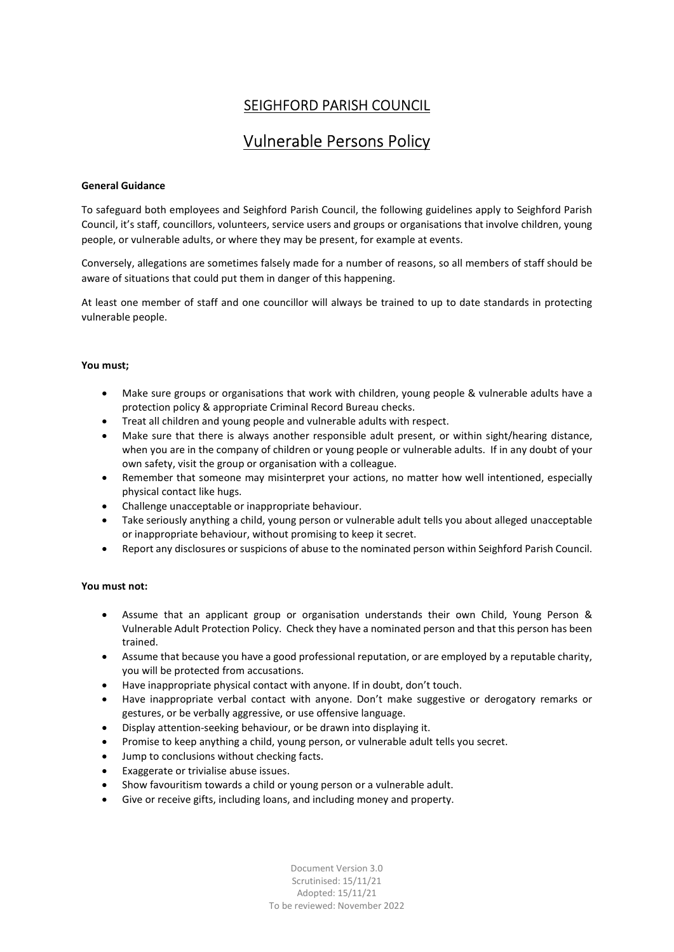# SEIGHFORD PARISH COUNCIL

# Vulnerable Persons Policy

## General Guidance

To safeguard both employees and Seighford Parish Council, the following guidelines apply to Seighford Parish Council, it's staff, councillors, volunteers, service users and groups or organisations that involve children, young people, or vulnerable adults, or where they may be present, for example at events.

Conversely, allegations are sometimes falsely made for a number of reasons, so all members of staff should be aware of situations that could put them in danger of this happening.

At least one member of staff and one councillor will always be trained to up to date standards in protecting vulnerable people.

# You must;

- Make sure groups or organisations that work with children, young people & vulnerable adults have a protection policy & appropriate Criminal Record Bureau checks.
- Treat all children and young people and vulnerable adults with respect.
- Make sure that there is always another responsible adult present, or within sight/hearing distance, when you are in the company of children or young people or vulnerable adults. If in any doubt of your own safety, visit the group or organisation with a colleague.
- Remember that someone may misinterpret your actions, no matter how well intentioned, especially physical contact like hugs.
- Challenge unacceptable or inappropriate behaviour.
- Take seriously anything a child, young person or vulnerable adult tells you about alleged unacceptable or inappropriate behaviour, without promising to keep it secret.
- Report any disclosures or suspicions of abuse to the nominated person within Seighford Parish Council.

## You must not:

- Assume that an applicant group or organisation understands their own Child, Young Person & Vulnerable Adult Protection Policy. Check they have a nominated person and that this person has been trained.
- Assume that because you have a good professional reputation, or are employed by a reputable charity, you will be protected from accusations.
- Have inappropriate physical contact with anyone. If in doubt, don't touch.
- Have inappropriate verbal contact with anyone. Don't make suggestive or derogatory remarks or gestures, or be verbally aggressive, or use offensive language.
- Display attention-seeking behaviour, or be drawn into displaying it.
- Promise to keep anything a child, young person, or vulnerable adult tells you secret.
- Jump to conclusions without checking facts.
- Exaggerate or trivialise abuse issues.
- Show favouritism towards a child or young person or a vulnerable adult.
- Give or receive gifts, including loans, and including money and property.

Document Version 3.0 Scrutinised: 15/11/21 Adopted: 15/11/21 To be reviewed: November 2022